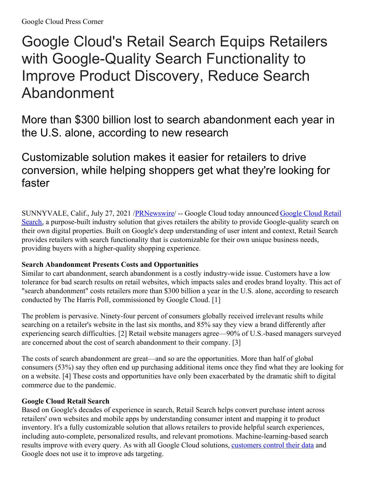# Google Cloud's Retail Search Equips Retailers with Google-Quality Search Functionality to Improve Product Discovery, Reduce Search Abandonment

More than \$300 billion lost to search abandonment each year in the U.S. alone, according to new research

# Customizable solution makes it easier for retailers to drive conversion, while helping shoppers get what they're looking for faster

[SUNNYVALE,](https://c212.net/c/link/?t=0&l=en&o=3240065-1&h=1092546831&u=https%3A%2F%2Fcloud.google.com%2Fsolutions%2Fretail-product-discovery&a=Google+Cloud+Retail+Search) Calif., July 27, 2021 /**PRNewswire/ -- Google Cloud today announced Google Cloud Retail** Search, a purpose-built industry solution that gives retailers the ability to provide Google-quality search on their own digital properties. Built on Google's deep understanding of user intent and context, Retail Search provides retailers with search functionality that is customizable for their own unique business needs, providing buyers with a higher-quality shopping experience.

## **Search Abandonment Presents Costs and Opportunities**

Similar to cart abandonment, search abandonment is a costly industry-wide issue. Customers have a low tolerance for bad search results on retail websites, which impacts sales and erodes brand loyalty. This act of "search abandonment" costs retailers more than \$300 billion a year in the U.S. alone, according to research conducted by The Harris Poll, commissioned by Google Cloud. [1]

The problem is pervasive. Ninety-four percent of consumers globally received irrelevant results while searching on a retailer's website in the last six months, and 85% say they view a brand differently after experiencing search difficulties. [2] Retail website managers agree—90% of U.S.-based managers surveyed are concerned about the cost of search abandonment to their company. [3]

The costs of search abandonment are great—and so are the opportunities. More than half of global consumers (53%) say they often end up purchasing additional items once they find what they are looking for on a website. [4] These costs and opportunities have only been exacerbated by the dramatic shift to digital commerce due to the pandemic.

### **Google Cloud Retail Search**

Based on Google's decades of experience in search, Retail Search helps convert purchase intent across retailers' own websites and mobile apps by understanding consumer intent and mapping it to product inventory. It's a fully customizable solution that allows retailers to provide helpful search experiences, including auto-complete, personalized results, and relevant promotions. Machine-learning-based search results improve with every query. As with all Google Cloud solutions, [customers](https://c212.net/c/link/?t=0&l=en&o=3240065-1&h=3935680601&u=https%3A%2F%2Fcloud.google.com%2Fsecurity%2Fprivacy&a=customers+control+their+data) control their data and Google does not use it to improve ads targeting.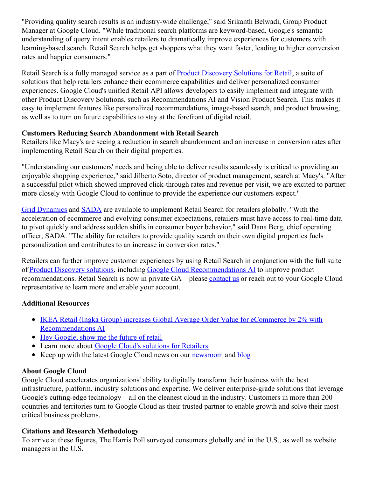"Providing quality search results is an industry-wide challenge," said Srikanth Belwadi, Group Product Manager at Google Cloud. "While traditional search platforms are keyword-based, Google's semantic understanding of query intent enables retailers to dramatically improve experiences for customers with learning-based search. Retail Search helps get shoppers what they want faster, leading to higher conversion rates and happier consumers."

Retail Search is a fully managed service as a part of Product [Discovery](https://c212.net/c/link/?t=0&l=en&o=3240065-1&h=607823962&u=https%3A%2F%2Fcloud.google.com%2Fsolutions%2Fretail-product-discovery&a=Product+Discovery+Solutions+for+Retail) Solutions for Retail, a suite of solutions that help retailers enhance their ecommerce capabilities and deliver personalized consumer experiences. Google Cloud's unified Retail API allows developers to easily implement and integrate with other Product Discovery Solutions, such as Recommendations AI and Vision Product Search. This makes it easy to implement features like personalized recommendations, image-based search, and product browsing, as well as to turn on future capabilities to stay at the forefront of digital retail.

#### **Customers Reducing Search Abandonment with Retail Search**

Retailers like Macy's are seeing a reduction in search abandonment and an increase in conversion rates after implementing Retail Search on their digital properties.

"Understanding our customers' needs and being able to deliver results seamlessly is critical to providing an enjoyable shopping experience," said Jilberto Soto, director of product management, search at Macy's. "After a successful pilot which showed improved click-through rates and revenue per visit, we are excited to partner more closely with Google Cloud to continue to provide the experience our customers expect."

Grid [Dynamics](https://c212.net/c/link/?t=0&l=en&o=3240065-1&h=159260449&u=https%3A%2F%2Fwww.griddynamics.com%2F&a=Grid+Dynamics) and [SADA](https://c212.net/c/link/?t=0&l=en&o=3240065-1&h=1500836690&u=https%3A%2F%2Fsada.com%2F&a=SADA) are available to implement Retail Search for retailers globally. "With the acceleration of ecommerce and evolving consumer expectations, retailers must have access to real-time data to pivot quickly and address sudden shifts in consumer buyer behavior," said Dana Berg, chief operating officer, SADA. "The ability for retailers to provide quality search on their own digital properties fuels personalization and contributes to an increase in conversion rates."

Retailers can further improve customer experiences by using Retail Search in conjunction with the full suite of Product [Discovery](https://c212.net/c/link/?t=0&l=en&o=3240065-1&h=1862692648&u=https%3A%2F%2Fcloud.google.com%2Fsolutions%2Fretail-product-discovery&a=Product+Discovery+solutions) solutions, including Google Cloud [Recommendations](https://c212.net/c/link/?t=0&l=en&o=3240065-1&h=3885343388&u=https%3A%2F%2Fcloud.google.com%2Frecommendations&a=Google+Cloud+Recommendations+AI) AI to improve product recommendations. Retail Search is now in private GA – please [contact](https://c212.net/c/link/?t=0&l=en&o=3240065-1&h=3306837176&u=https%3A%2F%2Fcloud.google.com%2Fcontact&a=contact+us) us or reach out to your Google Cloud representative to learn more and enable your account.

#### **Additional Resources**

- IKEA Retail (Ingka Group) increases Global Average Order Value for eCommerce by 2% with [Recommendations](https://c212.net/c/link/?t=0&l=en&o=3240065-1&h=3899848962&u=https%3A%2F%2Fcloud.google.com%2Fblog%2Fproducts%2Fai-machine-learning%2Fikea-uses-google-cloud-recommendations-ai&a=IKEA+Retail+(Ingka+Group)+increases+Global+Average+Order+Value+for+eCommerce+by+2%25+with+Recommendations+AI) AI
- Hey [Google,](https://c212.net/c/link/?t=0&l=en&o=3240065-1&h=1781488760&u=https%3A%2F%2Fcloud.google.com%2Fblog%2Ftopics%2Fretail%2Fthe-three-pillars-of-the-future-of-retail&a=Hey+Google%2C+show+me+the+future+of+retail) show me the future of retail
- Learn more about Google Cloud's [solutions](https://c212.net/c/link/?t=0&l=en&o=3240065-1&h=1306288241&u=https%3A%2F%2Fcloud.google.com%2Fsolutions%2Fretail&a=Google+Cloud%27s+solutions+for+Retailers) for Retailers
- Keep up with the latest Google Cloud news on our [newsroom](https://c212.net/c/link/?t=0&l=en&o=3240065-1&h=3440419709&u=https%3A%2F%2Fcloud.google.com%2Fpress-releases&a=newsroom) and [blog](https://c212.net/c/link/?t=0&l=en&o=3240065-1&h=778662620&u=https%3A%2F%2Fcloud.google.com%2Fblog%2F&a=blog)

#### **About Google Cloud**

Google Cloud accelerates organizations' ability to digitally transform their business with the best infrastructure, platform, industry solutions and expertise. We deliver enterprise-grade solutions that leverage Google's cutting-edge technology – all on the cleanest cloud in the industry. Customers in more than 200 countries and territories turn to Google Cloud as their trusted partner to enable growth and solve their most critical business problems.

#### **Citations and Research Methodology**

To arrive at these figures, The Harris Poll surveyed consumers globally and in the U.S., as well as website managers in the U.S.